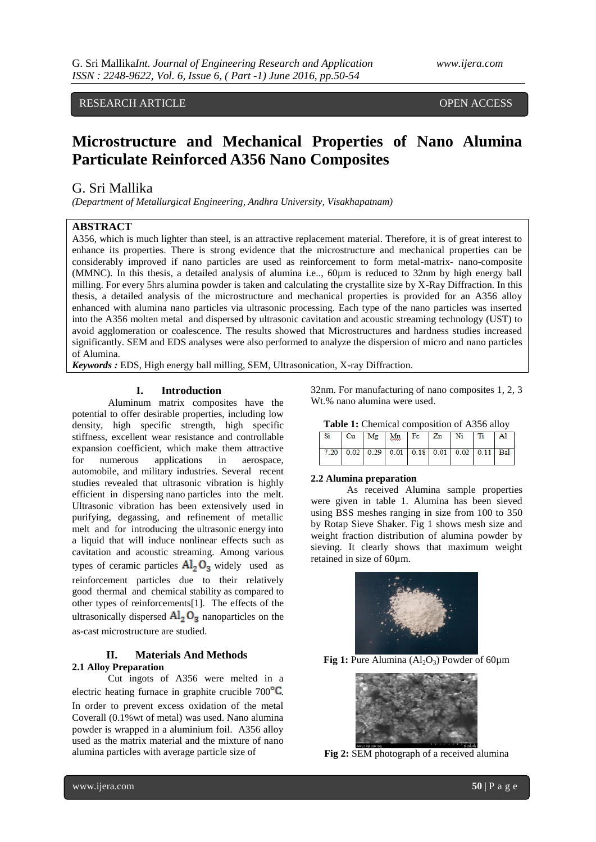# RESEARCH ARTICLE **CONSERVERS** OPEN ACCESS

# **Microstructure and Mechanical Properties of Nano Alumina Particulate Reinforced A356 Nano Composites**

# G. Sri Mallika

*(Department of Metallurgical Engineering, Andhra University, Visakhapatnam)*

## **ABSTRACT**

A356, which is much lighter than steel, is an attractive replacement material. Therefore, it is of great interest to enhance its properties. There is strong evidence that the microstructure and mechanical properties can be considerably improved if nano particles are used as reinforcement to form metal-matrix- nano-composite (MMNC). In this thesis, a detailed analysis of alumina i.e.., 60µm is reduced to 32nm by high energy ball milling. For every 5hrs alumina powder is taken and calculating the crystallite size by X-Ray Diffraction. In this thesis, a detailed analysis of the microstructure and mechanical properties is provided for an A356 alloy enhanced with alumina nano particles via ultrasonic processing. Each type of the nano particles was inserted into the A356 molten metal and dispersed by ultrasonic cavitation and acoustic streaming technology (UST) to avoid agglomeration or coalescence. The results showed that Microstructures and hardness studies increased significantly. SEM and EDS analyses were also performed to analyze the dispersion of micro and nano particles of Alumina.

*Keywords :* EDS, High energy ball milling, SEM, Ultrasonication, X-ray Diffraction.

#### **I. Introduction**

Aluminum matrix composites have the potential to offer desirable properties, including low density, high specific strength, high specific stiffness, excellent wear resistance and controllable expansion coefficient, which make them attractive for numerous applications in aerospace, automobile, and military industries. Several recent studies revealed that ultrasonic vibration is highly efficient in dispersing nano particles into the melt. Ultrasonic vibration has been extensively used in purifying, degassing, and refinement of metallic melt and for introducing the ultrasonic energy into a liquid that will induce nonlinear effects such as cavitation and acoustic streaming. Among various types of ceramic particles  $Al_2O_3$  widely used as reinforcement particles due to their relatively good thermal and chemical stability as compared to other types of reinforcements[1]. The effects of the ultrasonically dispersed  $\text{Al}_2\text{O}_3$  nanoparticles on the as-cast microstructure are studied.

## **II. Materials And Methods 2.1 Alloy Preparation**

Cut ingots of A356 were melted in a electric heating furnace in graphite crucible  $700^{\circ}$ C. In order to prevent excess oxidation of the metal Coverall (0.1%wt of metal) was used. Nano alumina powder is wrapped in a aluminium foil. A356 alloy used as the matrix material and the mixture of nano alumina particles with average particle size of

32nm. For manufacturing of nano composites 1, 2, 3 Wt.% nano alumina were used.

| <b>Table 1:</b> Chemical composition of A356 alloy |  |  |
|----------------------------------------------------|--|--|
|----------------------------------------------------|--|--|

|  |  | Si   Cu   Mg   Mn   Fe   Zn   Ni   Ti   Al    |  |  |
|--|--|-----------------------------------------------|--|--|
|  |  | $7.20$ 0.02 0.29 0.01 0.18 0.01 0.02 0.11 Bal |  |  |

### **2.2 Alumina preparation**

As received Alumina sample properties were given in table 1. Alumina has been sieved using BSS meshes ranging in size from 100 to 350 by Rotap Sieve Shaker. Fig 1 shows mesh size and weight fraction distribution of alumina powder by sieving. It clearly shows that maximum weight retained in size of 60µm.



**Fig 1:** Pure Alumina  $(Al_2O_3)$  Powder of 60 $\mu$ m



**Fig 2:** SEM photograph of a received alumina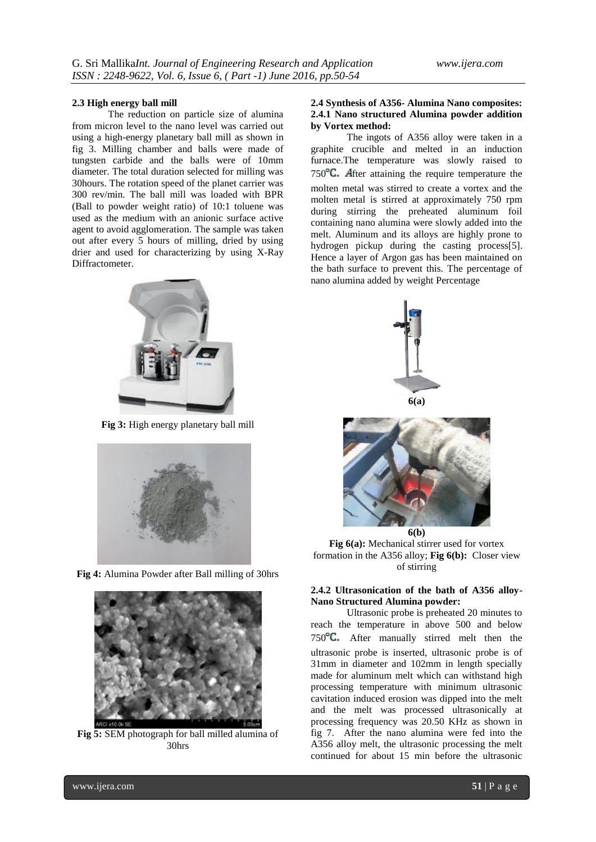### **2.3 High energy ball mill**

The reduction on particle size of alumina from micron level to the nano level was carried out using a high-energy planetary ball mill as shown in fig 3. Milling chamber and balls were made of tungsten carbide and the balls were of 10mm diameter. The total duration selected for milling was 30hours. The rotation speed of the planet carrier was 300 rev/min. The ball mill was loaded with BPR (Ball to powder weight ratio) of 10:1 toluene was used as the medium with an anionic surface active agent to avoid agglomeration. The sample was taken out after every 5 hours of milling, dried by using drier and used for characterizing by using X-Ray Diffractometer.



**Fig 3:** High energy planetary ball mill



**Fig 4:** Alumina Powder after Ball milling of 30hrs



**Fig 5:** SEM photograph for ball milled alumina of 30hrs

### **2.4 Synthesis of A356- Alumina Nano composites: 2.4.1 Nano structured Alumina powder addition by Vortex method:**

The ingots of A356 alloy were taken in a graphite crucible and melted in an induction furnace.The temperature was slowly raised to 750 $\textdegree$ C. After attaining the require temperature the molten metal was stirred to create a vortex and the molten metal is stirred at approximately 750 rpm during stirring the preheated aluminum foil containing nano alumina were slowly added into the melt. Aluminum and its alloys are highly prone to hydrogen pickup during the casting process[5]. Hence a layer of Argon gas has been maintained on the bath surface to prevent this. The percentage of nano alumina added by weight Percentage



**6(a)**



**Fig 6(a):** Mechanical stirrer used for vortex formation in the A356 alloy; **Fig 6(b):** Closer view of stirring

## **2.4.2 Ultrasonication of the bath of A356 alloy-Nano Structured Alumina powder:**

Ultrasonic probe is preheated 20 minutes to reach the temperature in above 500 and below  $750^{\circ}$ C. After manually stirred melt then the ultrasonic probe is inserted, ultrasonic probe is of 31mm in diameter and 102mm in length specially made for aluminum melt which can withstand high processing temperature with minimum ultrasonic cavitation induced erosion was dipped into the melt and the melt was processed ultrasonically at processing frequency was 20.50 KHz as shown in fig 7. After the nano alumina were fed into the A356 alloy melt, the ultrasonic processing the melt continued for about 15 min before the ultrasonic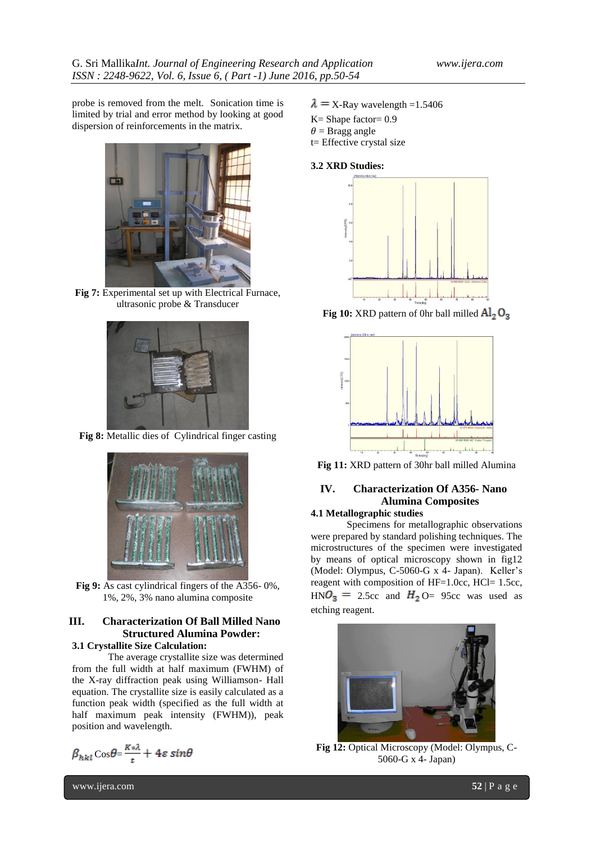probe is removed from the melt. Sonication time is limited by trial and error method by looking at good dispersion of reinforcements in the matrix.



**Fig 7:** Experimental set up with Electrical Furnace, ultrasonic probe & Transducer



**Fig 8:** Metallic dies of Cylindrical finger casting



**Fig 9:** As cast cylindrical fingers of the A356- 0%, 1%, 2%, 3% nano alumina composite

# **III. Characterization Of Ball Milled Nano Structured Alumina Powder:**

# **3.1 Crystallite Size Calculation:**

The average crystallite size was determined from the full width at half maximum (FWHM) of the X-ray diffraction peak using Williamson- Hall equation. The crystallite size is easily calculated as a function peak width (specified as the full width at half maximum peak intensity (FWHM)), peak position and wavelength.

$$
\beta_{hkl}\cos\theta = \frac{K*\lambda}{t} + 4\varepsilon\sin\theta
$$

- $\lambda = X$ -Ray wavelength =1.5406
- K= Shape factor= 0.9
- $\theta$  = Bragg angle
- t= Effective crystal size

### **3.2 XRD Studies:**



**Fig 10:** XRD pattern of 0hr ball milled  $\text{Al}_2\text{O}_3$ 



**Fig 11:** XRD pattern of 30hr ball milled Alumina

### **IV. Characterization Of A356- Nano Alumina Composites 4.1 Metallographic studies**

Specimens for metallographic observations were prepared by standard polishing techniques. The microstructures of the specimen were investigated by means of optical microscopy shown in fig12 (Model: Olympus, C-5060-G x 4- Japan). Keller's reagent with composition of HF=1.0cc, HCl= 1.5cc,  $H N O_3 = 2.5c$  and  $H_2 O = 95c$  was used as etching reagent.



**Fig 12:** Optical Microscopy (Model: Olympus, C-5060-G x 4- Japan)

www.ijera.com **52** | P a g e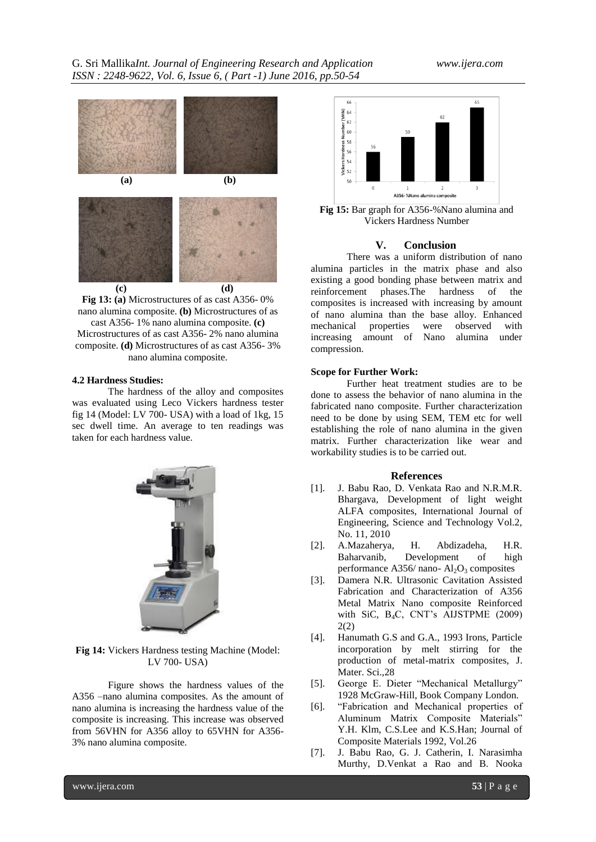G. Sri Mallika*Int. Journal of Engineering Research and Application www.ijera.com ISSN : 2248-9622, Vol. 6, Issue 6, ( Part -1) June 2016, pp.50-54*





#### **4.2 Hardness Studies:**

The hardness of the alloy and composites was evaluated using Leco Vickers hardness tester fig 14 (Model: LV 700- USA) with a load of 1kg, 15 sec dwell time. An average to ten readings was taken for each hardness value.



**Fig 14:** Vickers Hardness testing Machine (Model: LV 700- USA)

Figure shows the hardness values of the A356 –nano alumina composites. As the amount of nano alumina is increasing the hardness value of the composite is increasing. This increase was observed from 56VHN for A356 alloy to 65VHN for A356- 3% nano alumina composite.



**Fig 15:** Bar graph for A356-%Nano alumina and Vickers Hardness Number

## **V. Conclusion**

There was a uniform distribution of nano alumina particles in the matrix phase and also existing a good bonding phase between matrix and reinforcement phases.The hardness of the composites is increased with increasing by amount of nano alumina than the base alloy. Enhanced mechanical properties were increasing amount of Nano alumina under compression.

### **Scope for Further Work:**

Further heat treatment studies are to be done to assess the behavior of nano alumina in the fabricated nano composite. Further characterization need to be done by using SEM, TEM etc for well establishing the role of nano alumina in the given matrix. Further characterization like wear and workability studies is to be carried out.

#### **References**

- [1]. J. Babu Rao, D. Venkata Rao and N.R.M.R. Bhargava, Development of light weight ALFA composites, International Journal of Engineering, Science and Technology Vol.2, No. 11, 2010
- [2]. A.Mazaherya, H. Abdizadeha, H.R. Development of performance A356/ nano- $\text{Al}_2\text{O}_3$  composites
- [3]. Damera N.R. Ultrasonic Cavitation Assisted Fabrication and Characterization of A356 Metal Matrix Nano composite Reinforced with SiC,  $B_4C$ , CNT's AIJSTPME (2009) 2(2)
- [4]. Hanumath G.S and G.A., 1993 Irons, Particle incorporation by melt stirring for the production of metal-matrix composites, J. Mater. Sci.,28
- [5]. George E. Dieter "Mechanical Metallurgy" 1928 McGraw-Hill, Book Company London.
- [6]. "Fabrication and Mechanical properties of Aluminum Matrix Composite Materials" Y.H. Klm, C.S.Lee and K.S.Han; Journal of Composite Materials 1992, Vol.26
- [7]. J. Babu Rao, G. J. Catherin, I. Narasimha Murthy, D.Venkat a Rao and B. Nooka